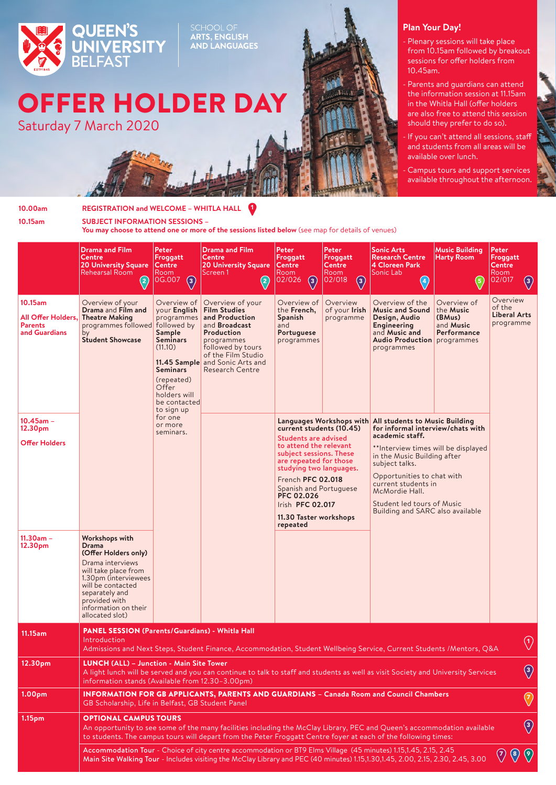

SCHOOL OF<br>**ARTS, ENGLISH<br>AND LANGUAGES** 

## OFFER HOLDER DAY

Saturday 7 March 2020



## **Plan Your Day!**

- Plenary sessions will take place from 10.15am followed by breakout sessions for offer holders from 10.45am.
- Parents and quardians can attend the information session at 11.15am in the Whitla Hall (offer holders are also free to attend this session should they prefer to do so).
- If you can't attend all sessions, staff and students from all areas will be available over lunch.

Campus tours and support services available throughout the afternoon.

**10.00am REGISTRATION and WELCOME – WHITLA HALL 10.15am SUBJECT INFORMATION SESSIONS –**  You may choose to attend one or more of the sessions listed below (see map for details of venues)  $\mathbf 0$ 

|                                                                  | <b>Drama and Film</b><br>Centre<br><b>20 University Square</b><br>Rehearsal Room<br>(2)                                                                                                                                                                                                                                                                                                                                                                                                                                                                                                                 | Peter<br>Froggatt<br><b>Centre</b><br>Room<br>$ 0G.007 \t(3) $                                                                                                                           | <b>Drama and Film</b><br><b>Centre</b><br><b>20 University Square</b><br>Screen 1<br>$\left( 2\right)$                                                                                                                | Peter<br>Froggatt<br><b>Centre</b><br>Room<br>02/026<br><b>E</b>                                                                                                                                                                                                                         | Peter<br>Froggatt<br><b>Centre</b><br>Room<br> 02/018 <br>$\left(3\right)$ | <b>Sonic Arts</b><br><b>Research Centre</b><br>4 Cloreen Park<br>Sonic Lab<br><b>A</b>                                                                                                                                                                                                                                                           | <b>Music Building</b><br><b>Harty Room</b><br>$\left(5\right)$               | Peter<br>Froggatt<br><b>Centre</b><br>Room<br>02/017<br>$\binom{3}{}$ |
|------------------------------------------------------------------|---------------------------------------------------------------------------------------------------------------------------------------------------------------------------------------------------------------------------------------------------------------------------------------------------------------------------------------------------------------------------------------------------------------------------------------------------------------------------------------------------------------------------------------------------------------------------------------------------------|------------------------------------------------------------------------------------------------------------------------------------------------------------------------------------------|-----------------------------------------------------------------------------------------------------------------------------------------------------------------------------------------------------------------------|------------------------------------------------------------------------------------------------------------------------------------------------------------------------------------------------------------------------------------------------------------------------------------------|----------------------------------------------------------------------------|--------------------------------------------------------------------------------------------------------------------------------------------------------------------------------------------------------------------------------------------------------------------------------------------------------------------------------------------------|------------------------------------------------------------------------------|-----------------------------------------------------------------------|
| 10.15am<br>All Offer Holders,<br><b>Parents</b><br>and Guardians | Overview of your<br>Drama and Film and<br><b>Theatre Making</b><br>programmes followed<br>by<br><b>Student Showcase</b>                                                                                                                                                                                                                                                                                                                                                                                                                                                                                 | Overview of<br>vour Enalish<br>programmes<br>followed by<br>Sample<br><b>Seminars</b><br>(11.10)<br><b>Seminars</b><br>(repeated)<br>Offer<br>holders will<br>be contacted<br>to sign up | Overview of your<br><b>Film Studies</b><br>and Production<br>and <b>Broadcast</b><br>Production<br>programmes<br>followed by tours<br>of the Film Studio<br>11.45 Sample and Sonic Arts and<br><b>Research Centre</b> | Overview of<br>the French,<br><b>Spanish</b><br>and<br>Portuguese<br>programmes                                                                                                                                                                                                          | Overview<br>of your Irish<br>programme                                     | Overview of the<br><b>Music and Sound</b><br>Design, Audio<br>Engineering<br>and Music and<br><b>Audio Production</b> programmes<br>programmes                                                                                                                                                                                                   | Overview of<br>the <b>Music</b><br>(BMus)<br>and <b>Music</b><br>Performance | Overview<br>of the<br>Liberal Arts<br>programme                       |
| $10.45$ am -<br>12.30pm<br><b>Offer Holders</b>                  |                                                                                                                                                                                                                                                                                                                                                                                                                                                                                                                                                                                                         | for one<br>or more<br>seminars.                                                                                                                                                          |                                                                                                                                                                                                                       | current students (10.45)<br>Students are advised<br>to attend the relevant<br>subject sessions. These<br>are repeated for those<br>studying two languages.<br>French PFC 02.018<br>Spanish and Portuguese<br><b>PFC 02.026</b><br>Irish PFC 02.017<br>11.30 Taster workshops<br>repeated |                                                                            | Languages Workshops with All students to Music Building<br>for informal interview/chats with<br>academic staff.<br>**Interview times will be displayed<br>in the Music Building after<br>subject talks.<br>Opportunities to chat with<br>current students in<br>McMordie Hall.<br>Student led tours of Music<br>Building and SARC also available |                                                                              |                                                                       |
| $11.30am -$<br>12.30pm                                           | Workshops with<br>Drama<br>(Offer Holders only)<br>Drama interviews<br>will take place from<br>1.30pm (interviewees<br>will be contacted<br>separately and<br>provided with<br>information on their<br>allocated slot)                                                                                                                                                                                                                                                                                                                                                                                  |                                                                                                                                                                                          |                                                                                                                                                                                                                       |                                                                                                                                                                                                                                                                                          |                                                                            |                                                                                                                                                                                                                                                                                                                                                  |                                                                              |                                                                       |
| 11.15am                                                          | <b>PANEL SESSION (Parents/Guardians) - Whitla Hall</b><br>$\bigcirc$<br>Introduction<br>Admissions and Next Steps, Student Finance, Accommodation, Student Wellbeing Service, Current Students /Mentors, Q&A                                                                                                                                                                                                                                                                                                                                                                                            |                                                                                                                                                                                          |                                                                                                                                                                                                                       |                                                                                                                                                                                                                                                                                          |                                                                            |                                                                                                                                                                                                                                                                                                                                                  |                                                                              |                                                                       |
| 12.30pm                                                          | LUNCH (ALL) - Junction - Main Site Tower<br>$\circled{3}$<br>A light lunch will be served and you can continue to talk to staff and students as well as visit Society and University Services<br>information stands (Available from 12.30-3.00pm)                                                                                                                                                                                                                                                                                                                                                       |                                                                                                                                                                                          |                                                                                                                                                                                                                       |                                                                                                                                                                                                                                                                                          |                                                                            |                                                                                                                                                                                                                                                                                                                                                  |                                                                              |                                                                       |
| 1.00pm                                                           | <b>INFORMATION FOR GB APPLICANTS, PARENTS AND GUARDIANS - Canada Room and Council Chambers</b><br>$\bigcirc$<br>GB Scholarship, Life in Belfast, GB Student Panel                                                                                                                                                                                                                                                                                                                                                                                                                                       |                                                                                                                                                                                          |                                                                                                                                                                                                                       |                                                                                                                                                                                                                                                                                          |                                                                            |                                                                                                                                                                                                                                                                                                                                                  |                                                                              |                                                                       |
| 1.15pm                                                           | <b>OPTIONAL CAMPUS TOURS</b><br>$\circled{3}$<br>An opportunity to see some of the many facilities including the McClay Library, PEC and Queen's accommodation available<br>to students. The campus tours will depart from the Peter Froggatt Centre foyer at each of the following times:<br>Accommodation Tour - Choice of city centre accommodation or BT9 Elms Village (45 minutes) 1.15,1.45, 2.15, 2.45<br>$\left( \frac{8}{2} \right)$<br>$\langle 7 \rangle$<br>Main Site Walking Tour - Includes visiting the McClay Library and PEC (40 minutes) 1.15,1.30,1.45, 2.00, 2.15, 2.30, 2.45, 3.00 |                                                                                                                                                                                          |                                                                                                                                                                                                                       |                                                                                                                                                                                                                                                                                          |                                                                            |                                                                                                                                                                                                                                                                                                                                                  |                                                                              |                                                                       |
|                                                                  |                                                                                                                                                                                                                                                                                                                                                                                                                                                                                                                                                                                                         |                                                                                                                                                                                          |                                                                                                                                                                                                                       |                                                                                                                                                                                                                                                                                          |                                                                            |                                                                                                                                                                                                                                                                                                                                                  |                                                                              |                                                                       |